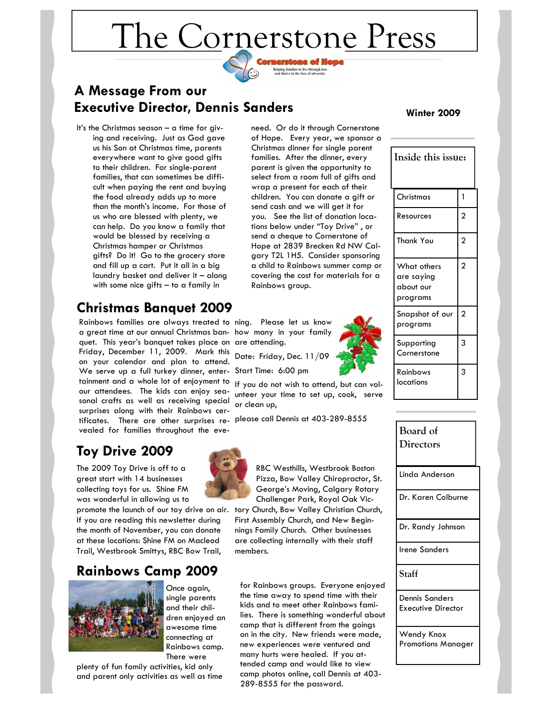# The Cornerstone Press

ornerstone of Hope Helping families to live through loss<br>and thrive in the face of adversity

## **A Message From our Executive Director, Dennis Sanders**

It's the Christmas season – a time for giving and receiving. Just as God gave us his Son at Christmas time, parents everywhere want to give good gifts to their children. For single-parent families, that can sometimes be difficult when paying the rent and buying the food already adds up to more than the month's income. For those of us who are blessed with plenty, we can help. Do you know a family that would be blessed by receiving a Christmas hamper or Christmas gifts? Do it! Go to the grocery store and fill up a cart. Put it all in a big laundry basket and deliver it – along with some nice gifts – to a family in

# **Christmas Banquet 2009**

Rainbows families are always treated to ning. Please let us know a great time at our annual Christmas ban-how many in your family quet. This year's banquet takes place on are attending. Friday, December 11, 2009. Mark this on your calendar and plan to attend. We serve up a full turkey dinner, enter-Start Time: 6:00 pm tainment and a whole lot of enjoyment to our attendees. The kids can enjoy seasonal crafts as well as receiving special surprises along with their Rainbows certificates. There are other surprises re-please call Dennis at 403-289-8555 vealed for families throughout the eve-

# **Toy Drive 2009**

The 2009 Toy Drive is off to a great start with 14 businesses collecting toys for us. Shine FM was wonderful in allowing us to

promote the launch of our toy drive on air. If you are reading this newsletter during the month of November, you can donate at these locations: Shine FM on Macleod Trail, Westbrook Smittys, RBC Bow Trail,

## **Rainbows Camp 2009**



Once again, single parents and their children enjoyed an awesome time connecting at Rainbows camp. There were

plenty of fun family activities, kid only and parent only activities as well as time

need. Or do it through Cornerstone of Hope. Every year, we sponsor a Christmas dinner for single parent families. After the dinner, every parent is given the opportunity to select from a room full of gifts and wrap a present for each of their children. You can donate a gift or send cash and we will get it for you. See the list of donation locations below under "Toy Drive" , or send a cheque to Cornerstone of Hope at 2839 Brecken Rd NW Calgary T2L 1H5. Consider sponsoring a child to Rainbows summer camp or covering the cost for materials for a Rainbows group.

Date: Friday, Dec. 11/09

If you do not wish to attend, but can volunteer your time to set up, cook, serve or clean up,



RBC Westhills, Westbrook Boston Pizza, Bow Valley Chiropractor, St. George's Moving, Calgary Rotary Challenger Park, Royal Oak Victory Church, Bow Valley Christian Church,

First Assembly Church, and New Beginnings Family Church. Other businesses are collecting internally with their staff members.

for Rainbows groups. Everyone enjoyed the time away to spend time with their kids and to meet other Rainbows families. There is something wonderful about camp that is different from the goings on in the city. New friends were made, new experiences were ventured and many hurts were healed. If you attended camp and would like to view camp photos online, call Dennis at 403- 289-8555 for the password.

#### **Winter 2009**

| Inside this issue:                                 |                |
|----------------------------------------------------|----------------|
| Christmas                                          | 1              |
| Resources                                          | $\overline{2}$ |
| <b>Thank You</b>                                   | $\overline{2}$ |
| What others<br>are saying<br>about our<br>programs | $\overline{2}$ |
| Snapshot of our<br>programs                        | $\overline{2}$ |
| Supporting<br>Cornerstone                          | 3              |
| Rainbows<br>locations                              | 3              |

Linda Anderson Dr. Karen Colburne Dr. Randy Johnson Irene Sanders **Staff**  Dennis Sanders Executive Director Wendy Knox Promotions Manager **Board of Directors** 

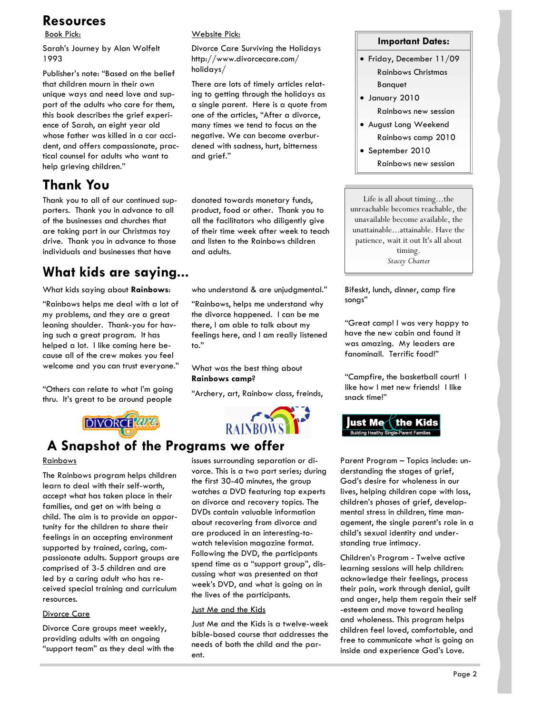## **Resources**

Book Pick:

Sarah's Journey by Alan Wolfelt 1993

Publisher's note: "Based on the belief that children mourn in their own unique ways and need love and support of the adults who care for them, this book describes the grief experience of Sarah, an eight year old whose father was killed in a car accident, and offers compassionate, practical counsel for adults who want to help grieving children."

## **Thank You**

Thank you to all of our continued supporters. Thank you in advance to all of the businesses and churches that are taking part in our Christmas toy drive. Thank you in advance to those individuals and businesses that have

## **What kids are saying...**

What kids saying about **Rainbows**:

"Rainbows helps me deal with a lot of my problems, and they are a great leaning shoulder. Thank-you for having such a great program. It has helped a lot. I like coming here because all of the crew makes you feel welcome and you can trust everyone."

"Others can relate to what I'm going thru. It's great to be around people

**DIVORCE** are

## Website Pick:

Divorce Care Surviving the Holidays http://www.divorcecare.com/ holidays/

There are lots of timely articles relating to getting through the holidays as a single parent. Here is a quote from one of the articles, "After a divorce, many times we tend to focus on the negative. We can become overburdened with sadness, hurt, bitterness and grief."

donated towards monetary funds, product, food or other. Thank you to all the facilitators who diligently give of their time week after week to teach and listen to the Rainbows children and adults.

who understand & are unjudgmental."

"Rainbows, helps me understand why the divorce happened. I can be me there, I am able to talk about my feelings here, and I am really listened to."

What was the best thing about **Rainbows camp**?

"Archery, art, Rainbow class, freinds,



## **A Snapshot of the Programs we offer**

#### **Rainbows**

The Rainbows program helps children learn to deal with their self-worth, accept what has taken place in their families, and get on with being a child. The aim is to provide an opportunity for the children to share their feelings in an accepting environment supported by trained, caring, compassionate adults. Support groups are comprised of 3-5 children and are led by a caring adult who has received special training and curriculum resources.

#### Divorce Care

Divorce Care groups meet weekly, providing adults with an ongoing "support team" as they deal with the issues surrounding separation or divorce. This is a two part series; during the first 30-40 minutes, the group watches a DVD featuring top experts on divorce and recovery topics. The DVDs contain valuable information about recovering from divorce and are produced in an interesting-towatch television magazine format. Following the DVD, the participants spend time as a "support group", discussing what was presented on that week's DVD, and what is going on in the lives of the participants.

#### Just Me and the Kids

Just Me and the Kids is a twelve-week bible-based course that addresses the needs of both the child and the parent.

### **Important Dates:**

- Friday, December 11/09 Rainbows Christmas Banquet
- January 2010 Rainbows new session
- August Long Weekend Rainbows camp 2010
- September 2010 Rainbows new session

Life is all about timing...the unreachable becomes reachable, the unavailable become available, the unattainable...attainable. Have the patience, wait it out It's all about timing.

*Stacey Charter*

Bifeskt, lunch, dinner, camp fire songs"

"Great camp! I was very happy to have the new cabin and found it was amazing. My leaders are fanominall. Terrific food!"

"Campfire, the basketball court! I like how I met new friends! I like snack time!"



Parent Program – Topics include: understanding the stages of grief, God's desire for wholeness in our lives, helping children cope with loss, children's phases of grief, developmental stress in children, time management, the single parent's role in a child's sexual identity and understanding true intimacy.

Children's Program - Twelve active learning sessions will help children: acknowledge their feelings, process their pain, work through denial, guilt and anger, help them regain their self -esteem and move toward healing and wholeness. This program helps children feel loved, comfortable, and free to communicate what is going on inside and experience God's Love.